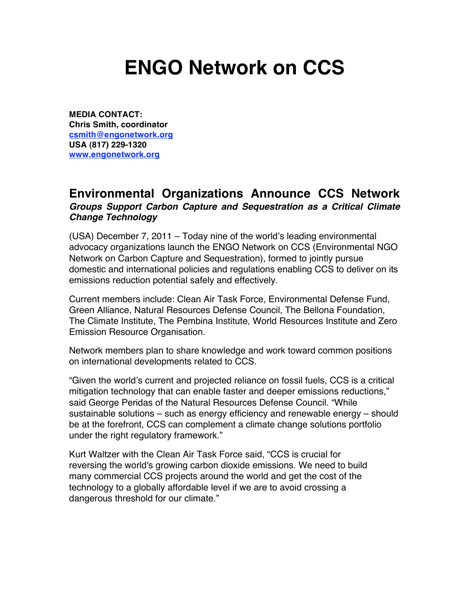## **ENGO Network on CCS**

**MEDIA CONTACT: Chris Smith, coordinator csmith@engonetwork.org USA (817) 229-1320 www.engonetwork.org**

## **Environmental Organizations Announce CCS Network** *Groups Support Carbon Capture and Sequestration as a Critical Climate Change Technology*

(USA) December 7, 2011  $-$  Today nine of the world's leading environmental advocacy organizations launch the ENGO Network on CCS (Environmental NGO Network on Carbon Capture and Sequestration), formed to jointly pursue domestic and international policies and regulations enabling CCS to deliver on its emissions reduction potential safely and effectively.

Current members include: Clean Air Task Force, Environmental Defense Fund, Green Alliance, Natural Resources Defense Council, The Bellona Foundation, The Climate Institute, The Pembina Institute, World Resources Institute and Zero Emission Resource Organisation.

Network members plan to share knowledge and work toward common positions on international developments related to CCS.

"Given the world's current and projected reliance on fossil fuels, CCS is a critical mitigation technology that can enable faster and deeper emissions reductions," said George Peridas of the Natural Resources Defense Council. "While sustainable solutions – such as energy efficiency and renewable energy – should be at the forefront, CCS can complement a climate change solutions portfolio under the right regulatory framework."

Kurt Waltzer with the Clean Air Task Force said, "CCS is crucial for reversing the world's growing carbon dioxide emissions. We need to build many commercial CCS projects around the world and get the cost of the technology to a globally affordable level if we are to avoid crossing a dangerous threshold for our climate."